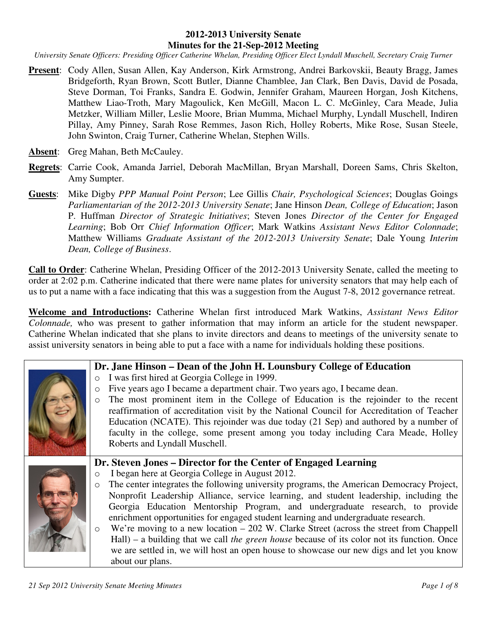#### **2012-2013 University Senate Minutes for the 21-Sep-2012 Meeting**

*University Senate Officers: Presiding Officer Catherine Whelan, Presiding Officer Elect Lyndall Muschell, Secretary Craig Turner* 

- **Present**: Cody Allen, Susan Allen, Kay Anderson, Kirk Armstrong, Andrei Barkovskii, Beauty Bragg, James Bridgeforth, Ryan Brown, Scott Butler, Dianne Chamblee, Jan Clark, Ben Davis, David de Posada, Steve Dorman, Toi Franks, Sandra E. Godwin, Jennifer Graham, Maureen Horgan, Josh Kitchens, Matthew Liao-Troth, Mary Magoulick, Ken McGill, Macon L. C. McGinley, Cara Meade, Julia Metzker, William Miller, Leslie Moore, Brian Mumma, Michael Murphy, Lyndall Muschell, Indiren Pillay, Amy Pinney, Sarah Rose Remmes, Jason Rich, Holley Roberts, Mike Rose, Susan Steele, John Swinton, Craig Turner, Catherine Whelan, Stephen Wills.
- Absent: Greg Mahan, Beth McCauley.
- **Regrets**: Carrie Cook, Amanda Jarriel, Deborah MacMillan, Bryan Marshall, Doreen Sams, Chris Skelton, Amy Sumpter.
- **Guests**: Mike Digby *PPP Manual Point Person*; Lee Gillis *Chair, Psychological Sciences*; Douglas Goings *Parliamentarian of the 2012-2013 University Senate*; Jane Hinson *Dean, College of Education*; Jason P. Huffman *Director of Strategic Initiatives*; Steven Jones *Director of the Center for Engaged Learning*; Bob Orr *Chief Information Officer*; Mark Watkins *Assistant News Editor Colonnade*; Matthew Williams *Graduate Assistant of the 2012-2013 University Senate*; Dale Young *Interim Dean, College of Business*.

**Call to Order**: Catherine Whelan, Presiding Officer of the 2012-2013 University Senate, called the meeting to order at 2:02 p.m. Catherine indicated that there were name plates for university senators that may help each of us to put a name with a face indicating that this was a suggestion from the August 7-8, 2012 governance retreat.

**Welcome and Introductions:** Catherine Whelan first introduced Mark Watkins, *Assistant News Editor Colonnade,* who was present to gather information that may inform an article for the student newspaper. Catherine Whelan indicated that she plans to invite directors and deans to meetings of the university senate to assist university senators in being able to put a face with a name for individuals holding these positions.

### **Dr. Jane Hinson – Dean of the John H. Lounsbury College of Education**

- o I was first hired at Georgia College in 1999.
- o Five years ago I became a department chair. Two years ago, I became dean.
- o The most prominent item in the College of Education is the rejoinder to the recent reaffirmation of accreditation visit by the National Council for Accreditation of Teacher Education (NCATE). This rejoinder was due today (21 Sep) and authored by a number of faculty in the college, some present among you today including Cara Meade, Holley Roberts and Lyndall Muschell.



#### **Dr. Steven Jones – Director for the Center of Engaged Learning**

- o I began here at Georgia College in August 2012.
- o The center integrates the following university programs, the American Democracy Project, Nonprofit Leadership Alliance, service learning, and student leadership, including the Georgia Education Mentorship Program, and undergraduate research, to provide enrichment opportunities for engaged student learning and undergraduate research.
- o We're moving to a new location 202 W. Clarke Street (across the street from Chappell Hall) – a building that we call *the green house* because of its color not its function. Once we are settled in, we will host an open house to showcase our new digs and let you know about our plans.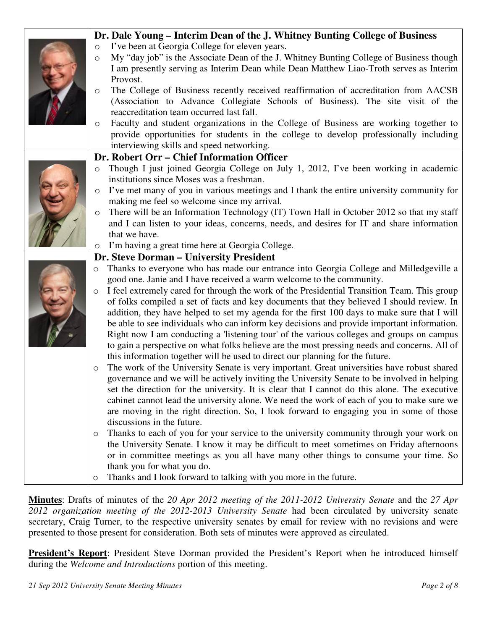|  | Dr. Dale Young - Interim Dean of the J. Whitney Bunting College of Business                           |
|--|-------------------------------------------------------------------------------------------------------|
|  | I've been at Georgia College for eleven years.<br>$\circ$                                             |
|  | My "day job" is the Associate Dean of the J. Whitney Bunting College of Business though<br>$\circ$    |
|  | I am presently serving as Interim Dean while Dean Matthew Liao-Troth serves as Interim                |
|  | Provost.                                                                                              |
|  | The College of Business recently received reaffirmation of accreditation from AACSB<br>$\circ$        |
|  | (Association to Advance Collegiate Schools of Business). The site visit of the                        |
|  | reaccreditation team occurred last fall.                                                              |
|  | Faculty and student organizations in the College of Business are working together to<br>O             |
|  | provide opportunities for students in the college to develop professionally including                 |
|  | interviewing skills and speed networking.                                                             |
|  | Dr. Robert Orr - Chief Information Officer                                                            |
|  | Though I just joined Georgia College on July 1, 2012, I've been working in academic<br>O              |
|  | institutions since Moses was a freshman.                                                              |
|  | I've met many of you in various meetings and I thank the entire university community for<br>$\circ$   |
|  | making me feel so welcome since my arrival.                                                           |
|  | There will be an Information Technology (IT) Town Hall in October 2012 so that my staff<br>$\circ$    |
|  | and I can listen to your ideas, concerns, needs, and desires for IT and share information             |
|  | that we have.                                                                                         |
|  | I'm having a great time here at Georgia College.<br>$\circ$                                           |
|  | Dr. Steve Dorman - University President                                                               |
|  | Thanks to everyone who has made our entrance into Georgia College and Milledgeville a<br>$\circ$      |
|  | good one. Janie and I have received a warm welcome to the community.                                  |
|  | I feel extremely cared for through the work of the Presidential Transition Team. This group           |
|  | of folks compiled a set of facts and key documents that they believed I should review. In             |
|  | addition, they have helped to set my agenda for the first 100 days to make sure that I will           |
|  | be able to see individuals who can inform key decisions and provide important information.            |
|  | Right now I am conducting a 'listening tour' of the various colleges and groups on campus             |
|  | to gain a perspective on what folks believe are the most pressing needs and concerns. All of          |
|  | this information together will be used to direct our planning for the future.                         |
|  | The work of the University Senate is very important. Great universities have robust shared<br>$\circ$ |
|  | governance and we will be actively inviting the University Senate to be involved in helping           |
|  | set the direction for the university. It is clear that I cannot do this alone. The executive          |
|  | cabinet cannot lead the university alone. We need the work of each of you to make sure we             |
|  | are moving in the right direction. So, I look forward to engaging you in some of those                |
|  | discussions in the future.                                                                            |
|  | Thanks to each of you for your service to the university community through your work on<br>O          |
|  | the University Senate. I know it may be difficult to meet sometimes on Friday afternoons              |
|  | or in committee meetings as you all have many other things to consume your time. So                   |
|  | thank you for what you do.                                                                            |
|  | Thanks and I look forward to talking with you more in the future.<br>O                                |

**Minutes**: Drafts of minutes of the *20 Apr 2012 meeting of the 2011-2012 University Senate* and the *27 Apr 2012 organization meeting of the 2012-2013 University Senate* had been circulated by university senate secretary, Craig Turner, to the respective university senates by email for review with no revisions and were presented to those present for consideration. Both sets of minutes were approved as circulated.

**President's Report**: President Steve Dorman provided the President's Report when he introduced himself during the *Welcome and Introductions* portion of this meeting.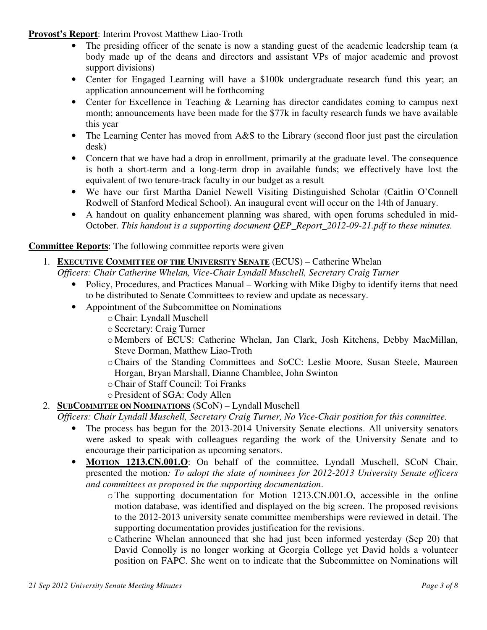**Provost's Report**: Interim Provost Matthew Liao-Troth

- The presiding officer of the senate is now a standing guest of the academic leadership team (a body made up of the deans and directors and assistant VPs of major academic and provost support divisions)
- Center for Engaged Learning will have a \$100k undergraduate research fund this year; an application announcement will be forthcoming
- Center for Excellence in Teaching & Learning has director candidates coming to campus next month; announcements have been made for the \$77k in faculty research funds we have available this year
- The Learning Center has moved from A&S to the Library (second floor just past the circulation desk)
- Concern that we have had a drop in enrollment, primarily at the graduate level. The consequence is both a short-term and a long-term drop in available funds; we effectively have lost the equivalent of two tenure-track faculty in our budget as a result
- We have our first Martha Daniel Newell Visiting Distinguished Scholar (Caitlin O'Connell Rodwell of Stanford Medical School). An inaugural event will occur on the 14th of January.
- A handout on quality enhancement planning was shared, with open forums scheduled in mid-October. *This handout is a supporting document QEP\_Report\_2012-09-21.pdf to these minutes.*

### **Committee Reports**: The following committee reports were given

# 1. **EXECUTIVE COMMITTEE OF THE UNIVERSITY SENATE** (ECUS) – Catherine Whelan

- *Officers: Chair Catherine Whelan, Vice-Chair Lyndall Muschell, Secretary Craig Turner*
	- Policy, Procedures, and Practices Manual Working with Mike Digby to identify items that need to be distributed to Senate Committees to review and update as necessary.
	- Appointment of the Subcommittee on Nominations
		- oChair: Lyndall Muschell
		- o Secretary: Craig Turner
		- o Members of ECUS: Catherine Whelan, Jan Clark, Josh Kitchens, Debby MacMillan, Steve Dorman, Matthew Liao-Troth
		- oChairs of the Standing Committees and SoCC: Leslie Moore, Susan Steele, Maureen Horgan, Bryan Marshall, Dianne Chamblee, John Swinton
		- oChair of Staff Council: Toi Franks
		- o President of SGA: Cody Allen

## 2. **SUBCOMMITEE ON NOMINATIONS** (SCoN) – Lyndall Muschell

### *Officers: Chair Lyndall Muschell, Secretary Craig Turner, No Vice-Chair position for this committee.*

- The process has begun for the 2013-2014 University Senate elections. All university senators were asked to speak with colleagues regarding the work of the University Senate and to encourage their participation as upcoming senators.
- **MOTION 1213.CN.001.O**: On behalf of the committee, Lyndall Muschell, SCoN Chair, presented the motion*: To adopt the slate of nominees for 2012-2013 University Senate officers and committees as proposed in the supporting documentation*.
	- oThe supporting documentation for Motion 1213.CN.001.O, accessible in the online motion database, was identified and displayed on the big screen. The proposed revisions to the 2012-2013 university senate committee memberships were reviewed in detail. The supporting documentation provides justification for the revisions.
	- $\circ$  Catherine Whelan announced that she had just been informed yesterday (Sep 20) that David Connolly is no longer working at Georgia College yet David holds a volunteer position on FAPC. She went on to indicate that the Subcommittee on Nominations will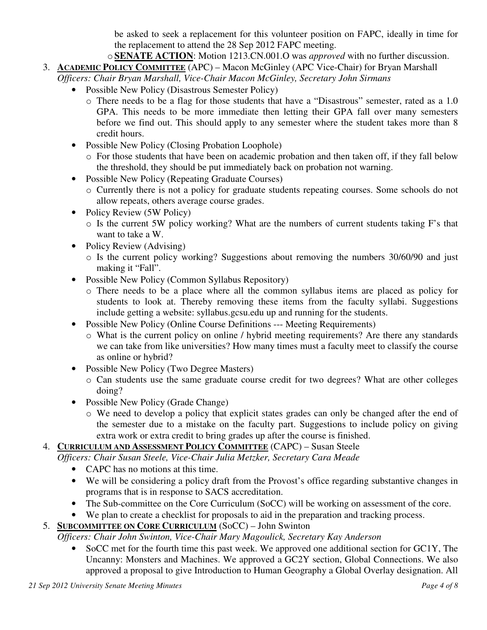be asked to seek a replacement for this volunteer position on FAPC, ideally in time for the replacement to attend the 28 Sep 2012 FAPC meeting.

- o **SENATE ACTION**: Motion 1213.CN.001.O was *approved* with no further discussion.
- 3. **ACADEMIC POLICY COMMITTEE** (APC) Macon McGinley (APC Vice-Chair) for Bryan Marshall *Officers: Chair Bryan Marshall, Vice-Chair Macon McGinley, Secretary John Sirmans*
	- Possible New Policy (Disastrous Semester Policy)
		- o There needs to be a flag for those students that have a "Disastrous" semester, rated as a 1.0 GPA. This needs to be more immediate then letting their GPA fall over many semesters before we find out. This should apply to any semester where the student takes more than 8 credit hours.
	- Possible New Policy (Closing Probation Loophole)
		- o For those students that have been on academic probation and then taken off, if they fall below the threshold, they should be put immediately back on probation not warning.
	- Possible New Policy (Repeating Graduate Courses)
		- o Currently there is not a policy for graduate students repeating courses. Some schools do not allow repeats, others average course grades.
	- Policy Review (5W Policy)
		- o Is the current 5W policy working? What are the numbers of current students taking F's that want to take a W.
	- Policy Review (Advising)
		- o Is the current policy working? Suggestions about removing the numbers 30/60/90 and just making it "Fall".
	- Possible New Policy (Common Syllabus Repository)
		- o There needs to be a place where all the common syllabus items are placed as policy for students to look at. Thereby removing these items from the faculty syllabi. Suggestions include getting a website: syllabus.gcsu.edu up and running for the students.
	- Possible New Policy (Online Course Definitions --- Meeting Requirements)
		- o What is the current policy on online / hybrid meeting requirements? Are there any standards we can take from like universities? How many times must a faculty meet to classify the course as online or hybrid?
	- Possible New Policy (Two Degree Masters)
		- o Can students use the same graduate course credit for two degrees? What are other colleges doing?
	- Possible New Policy (Grade Change)
		- o We need to develop a policy that explicit states grades can only be changed after the end of the semester due to a mistake on the faculty part. Suggestions to include policy on giving extra work or extra credit to bring grades up after the course is finished.

## 4. **CURRICULUM AND ASSESSMENT POLICY COMMITTEE** (CAPC) – Susan Steele

- *Officers: Chair Susan Steele, Vice-Chair Julia Metzker, Secretary Cara Meade*
	- CAPC has no motions at this time.
	- We will be considering a policy draft from the Provost's office regarding substantive changes in programs that is in response to SACS accreditation.
	- The Sub-committee on the Core Curriculum (SoCC) will be working on assessment of the core.
	- We plan to create a checklist for proposals to aid in the preparation and tracking process.
- 5. **SUBCOMMITTEE ON CORE CURRICULUM** (SoCC) John Swinton

*Officers: Chair John Swinton, Vice-Chair Mary Magoulick, Secretary Kay Anderson*

• SoCC met for the fourth time this past week. We approved one additional section for GC1Y, The Uncanny: Monsters and Machines. We approved a GC2Y section, Global Connections. We also approved a proposal to give Introduction to Human Geography a Global Overlay designation. All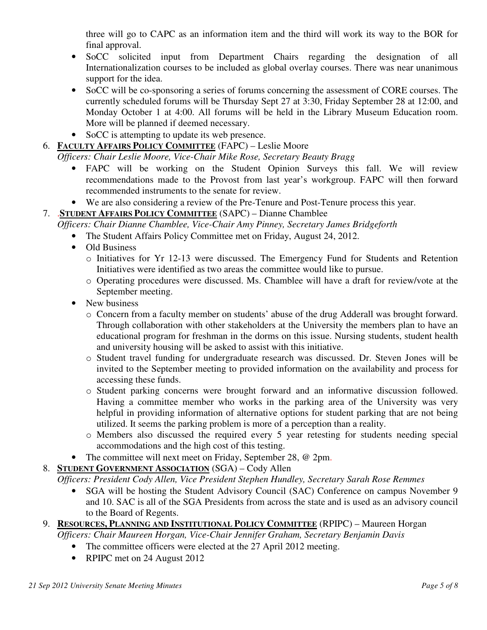three will go to CAPC as an information item and the third will work its way to the BOR for final approval.

- SoCC solicited input from Department Chairs regarding the designation of all Internationalization courses to be included as global overlay courses. There was near unanimous support for the idea.
- SoCC will be co-sponsoring a series of forums concerning the assessment of CORE courses. The currently scheduled forums will be Thursday Sept 27 at 3:30, Friday September 28 at 12:00, and Monday October 1 at 4:00. All forums will be held in the Library Museum Education room. More will be planned if deemed necessary.
- SoCC is attempting to update its web presence.
- 6. **FACULTY AFFAIRS POLICY COMMITTEE** (FAPC) Leslie Moore

*Officers: Chair Leslie Moore, Vice-Chair Mike Rose, Secretary Beauty Bragg*

- FAPC will be working on the Student Opinion Surveys this fall. We will review recommendations made to the Provost from last year's workgroup. FAPC will then forward recommended instruments to the senate for review.
- We are also considering a review of the Pre-Tenure and Post-Tenure process this year.
- 7. .**STUDENT AFFAIRS POLICY COMMITTEE** (SAPC) Dianne Chamblee

*Officers: Chair Dianne Chamblee, Vice-Chair Amy Pinney, Secretary James Bridgeforth*

- The Student Affairs Policy Committee met on Friday, August 24, 2012.
- Old Business
	- o Initiatives for Yr 12-13 were discussed. The Emergency Fund for Students and Retention Initiatives were identified as two areas the committee would like to pursue.
	- o Operating procedures were discussed. Ms. Chamblee will have a draft for review/vote at the September meeting.
- New business
	- o Concern from a faculty member on students' abuse of the drug Adderall was brought forward. Through collaboration with other stakeholders at the University the members plan to have an educational program for freshman in the dorms on this issue. Nursing students, student health and university housing will be asked to assist with this initiative.
	- o Student travel funding for undergraduate research was discussed. Dr. Steven Jones will be invited to the September meeting to provided information on the availability and process for accessing these funds.
	- o Student parking concerns were brought forward and an informative discussion followed. Having a committee member who works in the parking area of the University was very helpful in providing information of alternative options for student parking that are not being utilized. It seems the parking problem is more of a perception than a reality.
	- o Members also discussed the required every 5 year retesting for students needing special accommodations and the high cost of this testing.
- The committee will next meet on Friday, September 28, @ 2pm.
- 8. **STUDENT GOVERNMENT ASSOCIATION** (SGA) Cody Allen

*Officers: President Cody Allen, Vice President Stephen Hundley, Secretary Sarah Rose Remmes*

- SGA will be hosting the Student Advisory Council (SAC) Conference on campus November 9 and 10. SAC is all of the SGA Presidents from across the state and is used as an advisory council to the Board of Regents.
- 9. **RESOURCES, PLANNING AND INSTITUTIONAL POLICY COMMITTEE** (RPIPC) Maureen Horgan
	- *Officers: Chair Maureen Horgan, Vice-Chair Jennifer Graham, Secretary Benjamin Davis*
		- The committee officers were elected at the 27 April 2012 meeting.
		- RPIPC met on 24 August 2012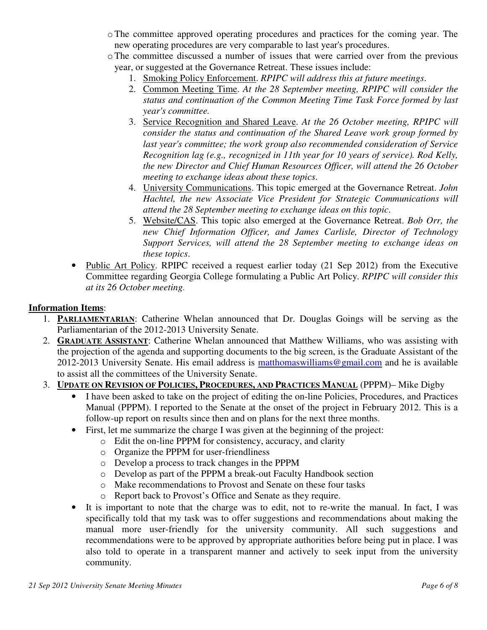- oThe committee approved operating procedures and practices for the coming year. The new operating procedures are very comparable to last year's procedures.
- oThe committee discussed a number of issues that were carried over from the previous year, or suggested at the Governance Retreat. These issues include:
	- 1. Smoking Policy Enforcement. *RPIPC will address this at future meetings*.
	- 2. Common Meeting Time. *At the 28 September meeting, RPIPC will consider the status and continuation of the Common Meeting Time Task Force formed by last year's committee.*
	- 3. Service Recognition and Shared Leave. *At the 26 October meeting, RPIPC will consider the status and continuation of the Shared Leave work group formed by last year's committee; the work group also recommended consideration of Service Recognition lag (e.g., recognized in 11th year for 10 years of service). Rod Kelly, the new Director and Chief Human Resources Officer, will attend the 26 October meeting to exchange ideas about these topics*.
	- 4. University Communications. This topic emerged at the Governance Retreat. *John Hachtel, the new Associate Vice President for Strategic Communications will attend the 28 September meeting to exchange ideas on this topic*.
	- 5. Website/CAS. This topic also emerged at the Governance Retreat. *Bob Orr, the new Chief Information Officer, and James Carlisle, Director of Technology Support Services, will attend the 28 September meeting to exchange ideas on these topics*.
- Public Art Policy. RPIPC received a request earlier today (21 Sep 2012) from the Executive Committee regarding Georgia College formulating a Public Art Policy. *RPIPC will consider this at its 26 October meeting.*

### **Information Items**:

- 1. **PARLIAMENTARIAN**: Catherine Whelan announced that Dr. Douglas Goings will be serving as the Parliamentarian of the 2012-2013 University Senate.
- 2. **GRADUATE ASSISTANT**: Catherine Whelan announced that Matthew Williams, who was assisting with the projection of the agenda and supporting documents to the big screen, is the Graduate Assistant of the 2012-2013 University Senate. His email address is matthomaswilliams@gmail.com and he is available to assist all the committees of the University Senate.
- 3. **UPDATE ON REVISION OF POLICIES, PROCEDURES, AND PRACTICES MANUAL** (PPPM)– Mike Digby
	- I have been asked to take on the project of editing the on-line Policies, Procedures, and Practices Manual (PPPM). I reported to the Senate at the onset of the project in February 2012. This is a follow-up report on results since then and on plans for the next three months.
	- First, let me summarize the charge I was given at the beginning of the project:
		- o Edit the on-line PPPM for consistency, accuracy, and clarity
		- o Organize the PPPM for user-friendliness
		- o Develop a process to track changes in the PPPM
		- o Develop as part of the PPPM a break-out Faculty Handbook section
		- o Make recommendations to Provost and Senate on these four tasks
		- o Report back to Provost's Office and Senate as they require.
	- It is important to note that the charge was to edit, not to re-write the manual. In fact, I was specifically told that my task was to offer suggestions and recommendations about making the manual more user-friendly for the university community. All such suggestions and recommendations were to be approved by appropriate authorities before being put in place. I was also told to operate in a transparent manner and actively to seek input from the university community.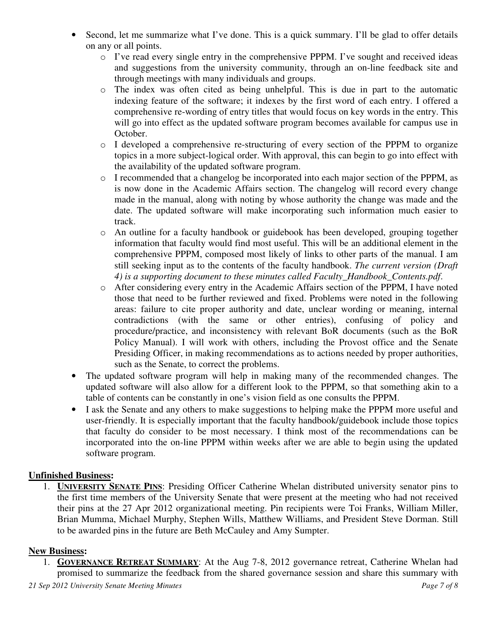- Second, let me summarize what I've done. This is a quick summary. I'll be glad to offer details on any or all points.
	- o I've read every single entry in the comprehensive PPPM. I've sought and received ideas and suggestions from the university community, through an on-line feedback site and through meetings with many individuals and groups.
	- o The index was often cited as being unhelpful. This is due in part to the automatic indexing feature of the software; it indexes by the first word of each entry. I offered a comprehensive re-wording of entry titles that would focus on key words in the entry. This will go into effect as the updated software program becomes available for campus use in October.
	- o I developed a comprehensive re-structuring of every section of the PPPM to organize topics in a more subject-logical order. With approval, this can begin to go into effect with the availability of the updated software program.
	- o I recommended that a changelog be incorporated into each major section of the PPPM, as is now done in the Academic Affairs section. The changelog will record every change made in the manual, along with noting by whose authority the change was made and the date. The updated software will make incorporating such information much easier to track.
	- o An outline for a faculty handbook or guidebook has been developed, grouping together information that faculty would find most useful. This will be an additional element in the comprehensive PPPM, composed most likely of links to other parts of the manual. I am still seeking input as to the contents of the faculty handbook. *The current version (Draft 4) is a supporting document to these minutes called Faculty\_Handbook\_Contents.pdf*.
	- o After considering every entry in the Academic Affairs section of the PPPM, I have noted those that need to be further reviewed and fixed. Problems were noted in the following areas: failure to cite proper authority and date, unclear wording or meaning, internal contradictions (with the same or other entries), confusing of policy and procedure/practice, and inconsistency with relevant BoR documents (such as the BoR Policy Manual). I will work with others, including the Provost office and the Senate Presiding Officer, in making recommendations as to actions needed by proper authorities, such as the Senate, to correct the problems.
- The updated software program will help in making many of the recommended changes. The updated software will also allow for a different look to the PPPM, so that something akin to a table of contents can be constantly in one's vision field as one consults the PPPM.
- I ask the Senate and any others to make suggestions to helping make the PPPM more useful and user-friendly. It is especially important that the faculty handbook/guidebook include those topics that faculty do consider to be most necessary. I think most of the recommendations can be incorporated into the on-line PPPM within weeks after we are able to begin using the updated software program.

### **Unfinished Business:**

1. **UNIVERSITY SENATE PINS**: Presiding Officer Catherine Whelan distributed university senator pins to the first time members of the University Senate that were present at the meeting who had not received their pins at the 27 Apr 2012 organizational meeting. Pin recipients were Toi Franks, William Miller, Brian Mumma, Michael Murphy, Stephen Wills, Matthew Williams, and President Steve Dorman. Still to be awarded pins in the future are Beth McCauley and Amy Sumpter.

### **New Business:**

1. **GOVERNANCE RETREAT SUMMARY**: At the Aug 7-8, 2012 governance retreat, Catherine Whelan had promised to summarize the feedback from the shared governance session and share this summary with